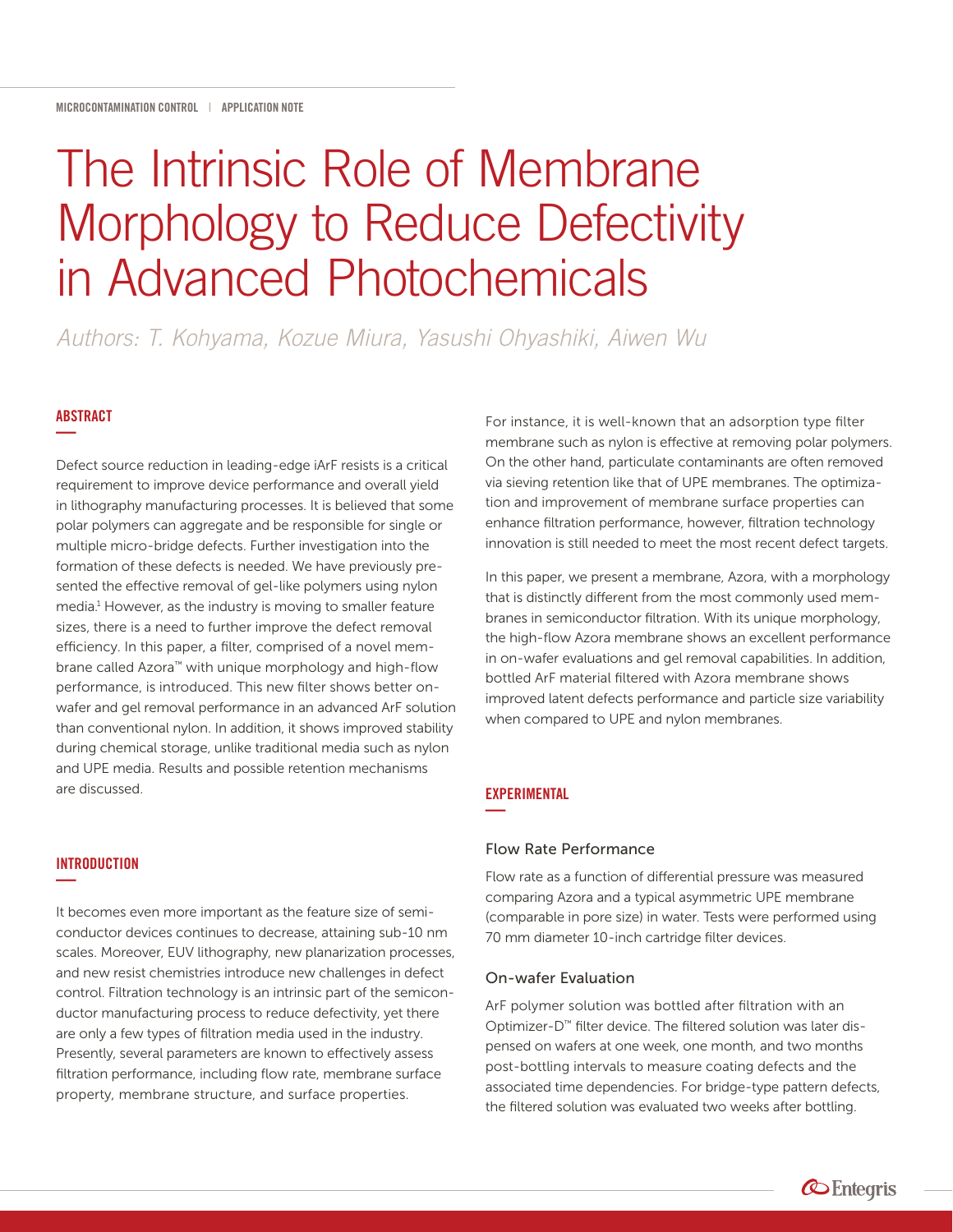# The Intrinsic Role of Membrane Morphology to Reduce Defectivity in Advanced Photochemicals

*Authors: T. Kohyama, Kozue Miura, Yasushi Ohyashiki, Aiwen Wu* 

# ABSTRACT **—**

Defect source reduction in leading-edge iArF resists is a critical requirement to improve device performance and overall yield in lithography manufacturing processes. It is believed that some polar polymers can aggregate and be responsible for single or multiple micro-bridge defects. Further investigation into the formation of these defects is needed. We have previously presented the effective removal of gel-like polymers using nylon media.<sup>1</sup> However, as the industry is moving to smaller feature sizes, there is a need to further improve the defect removal efficiency. In this paper, a filter, comprised of a novel membrane called Azora™ with unique morphology and high-flow performance, is introduced. This new filter shows better onwafer and gel removal performance in an advanced ArF solution than conventional nylon. In addition, it shows improved stability during chemical storage, unlike traditional media such as nylon and UPE media. Results and possible retention mechanisms are discussed.

# **INTRODUCTION —**

It becomes even more important as the feature size of semiconductor devices continues to decrease, attaining sub-10 nm scales. Moreover, EUV lithography, new planarization processes, and new resist chemistries introduce new challenges in defect control. Filtration technology is an intrinsic part of the semiconductor manufacturing process to reduce defectivity, yet there are only a few types of filtration media used in the industry. Presently, several parameters are known to effectively assess filtration performance, including flow rate, membrane surface property, membrane structure, and surface properties.

For instance, it is well-known that an adsorption type filter membrane such as nylon is effective at removing polar polymers. On the other hand, particulate contaminants are often removed via sieving retention like that of UPE membranes. The optimization and improvement of membrane surface properties can enhance filtration performance, however, filtration technology innovation is still needed to meet the most recent defect targets.

In this paper, we present a membrane, Azora, with a morphology that is distinctly different from the most commonly used membranes in semiconductor filtration. With its unique morphology, the high-flow Azora membrane shows an excellent performance in on-wafer evaluations and gel removal capabilities. In addition, bottled ArF material filtered with Azora membrane shows improved latent defects performance and particle size variability when compared to UPE and nylon membranes.

# **EXPERIMENTAL —**

## Flow Rate Performance

Flow rate as a function of differential pressure was measured comparing Azora and a typical asymmetric UPE membrane (comparable in pore size) in water. Tests were performed using 70 mm diameter 10-inch cartridge filter devices.

### On-wafer Evaluation

ArF polymer solution was bottled after filtration with an Optimizer-D™ filter device. The filtered solution was later dispensed on wafers at one week, one month, and two months post-bottling intervals to measure coating defects and the associated time dependencies. For bridge-type pattern defects, the filtered solution was evaluated two weeks after bottling.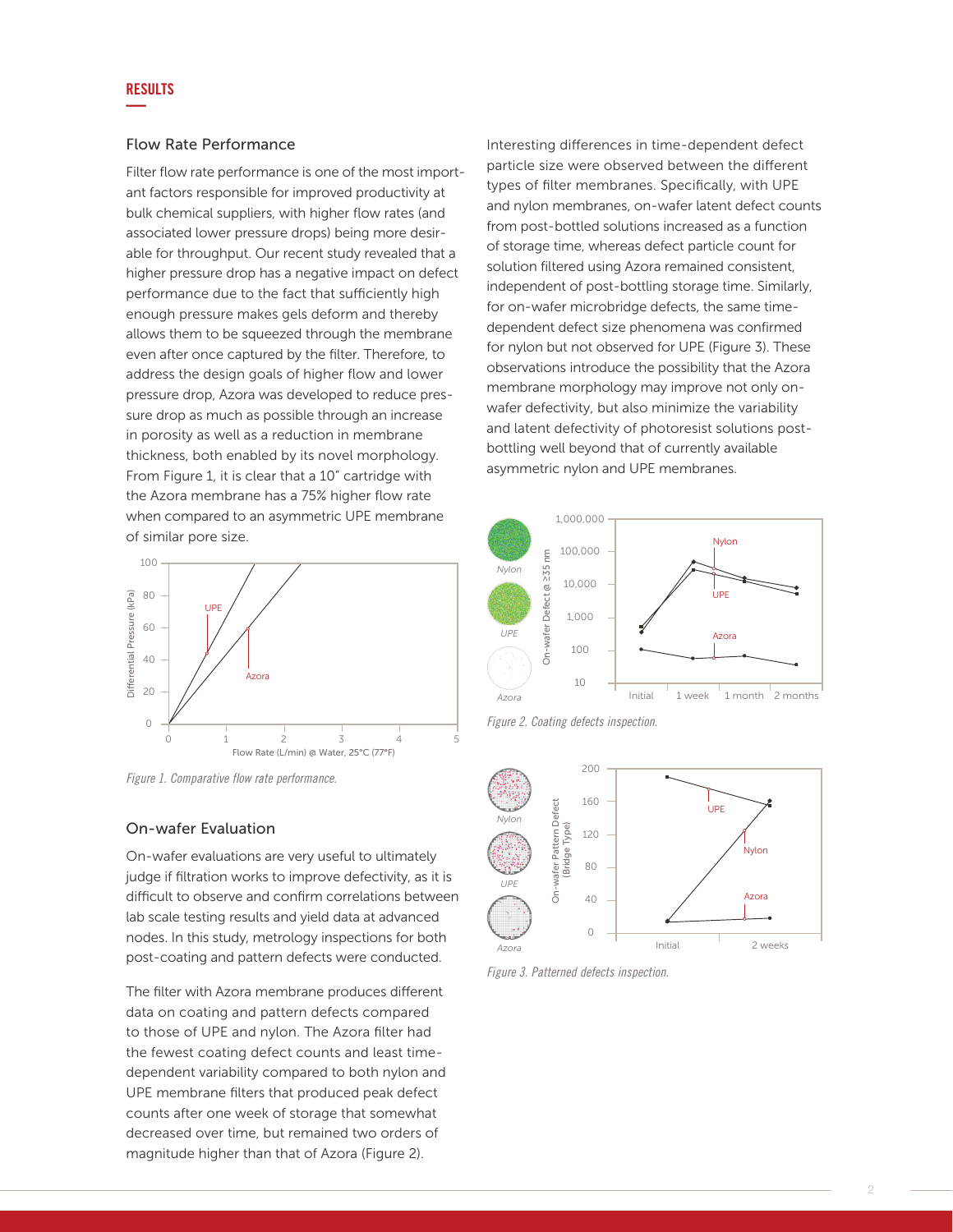# RESULTS **—**

# Flow Rate Performance

Filter flow rate performance is one of the most important factors responsible for improved productivity at bulk chemical suppliers, with higher flow rates (and associated lower pressure drops) being more desirable for throughput. Our recent study revealed that a higher pressure drop has a negative impact on defect performance due to the fact that sufficiently high enough pressure makes gels deform and thereby allows them to be squeezed through the membrane even after once captured by the filter. Therefore, to address the design goals of higher flow and lower pressure drop, Azora was developed to reduce pressure drop as much as possible through an increase in porosity as well as a reduction in membrane thickness, both enabled by its novel morphology. From Figure 1, it is clear that a 10" cartridge with the Azora membrane has a 75% higher flow rate when compared to an asymmetric UPE membrane of similar pore size.



*Figure 1. Comparative flow rate performance.* 

# On-wafer Evaluation

On-wafer evaluations are very useful to ultimately judge if filtration works to improve defectivity, as it is difficult to observe and confirm correlations between lab scale testing results and yield data at advanced nodes. In this study, metrology inspections for both post-coating and pattern defects were conducted.

The filter with Azora membrane produces different data on coating and pattern defects compared to those of UPE and nylon. The Azora filter had the fewest coating defect counts and least timedependent variability compared to both nylon and UPE membrane filters that produced peak defect counts after one week of storage that somewhat decreased over time, but remained two orders of magnitude higher than that of Azora (Figure 2).

Interesting differences in time-dependent defect particle size were observed between the different types of filter membranes. Specifically, with UPE and nylon membranes, on-wafer latent defect counts from post-bottled solutions increased as a function of storage time, whereas defect particle count for solution filtered using Azora remained consistent, independent of post-bottling storage time. Similarly, for on-wafer microbridge defects, the same timedependent defect size phenomena was confirmed for nylon but not observed for UPE (Figure 3). These observations introduce the possibility that the Azora membrane morphology may improve not only onwafer defectivity, but also minimize the variability and latent defectivity of photoresist solutions postbottling well beyond that of currently available asymmetric nylon and UPE membranes.



*Figure 2. Coating defects inspection.*



*Figure 3. Patterned defects inspection.*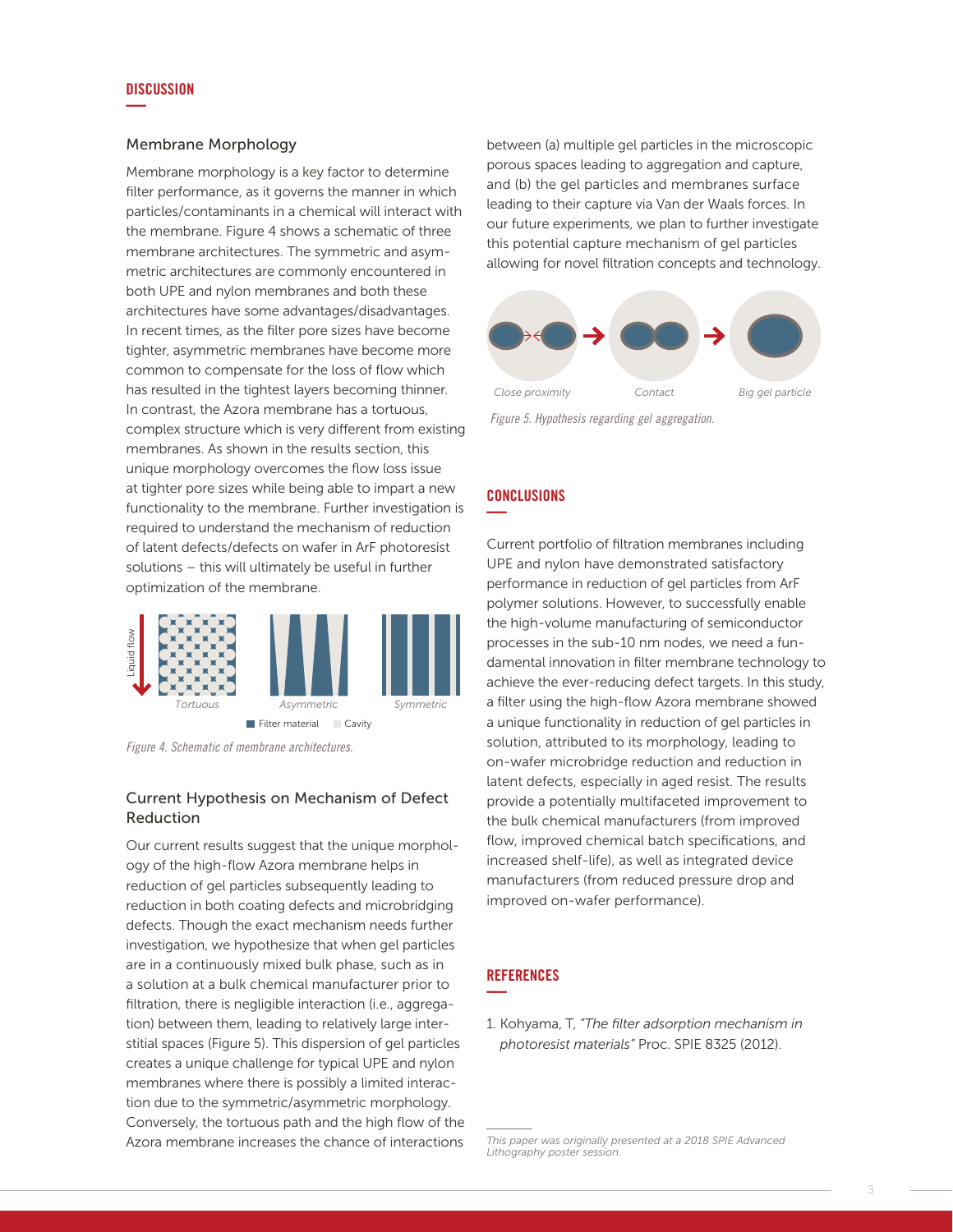#### DISCUSSION **—**

## Membrane Morphology

Membrane morphology is a key factor to determine filter performance, as it governs the manner in which particles/contaminants in a chemical will interact with the membrane. Figure 4 shows a schematic of three membrane architectures. The symmetric and asymmetric architectures are commonly encountered in both UPE and nylon membranes and both these architectures have some advantages/disadvantages. In recent times, as the filter pore sizes have become tighter, asymmetric membranes have become more common to compensate for the loss of flow which has resulted in the tightest layers becoming thinner. In contrast, the Azora membrane has a tortuous, complex structure which is very different from existing membranes. As shown in the results section, this unique morphology overcomes the flow loss issue at tighter pore sizes while being able to impart a new functionality to the membrane. Further investigation is required to understand the mechanism of reduction of latent defects/defects on wafer in ArF photoresist solutions – this will ultimately be useful in further optimization of the membrane.



*Figure 4. Schematic of membrane architectures.*

# Current Hypothesis on Mechanism of Defect Reduction

Our current results suggest that the unique morphology of the high-flow Azora membrane helps in reduction of gel particles subsequently leading to reduction in both coating defects and microbridging defects. Though the exact mechanism needs further investigation, we hypothesize that when gel particles are in a continuously mixed bulk phase, such as in a solution at a bulk chemical manufacturer prior to filtration, there is negligible interaction (i.e., aggregation) between them, leading to relatively large interstitial spaces (Figure 5). This dispersion of gel particles creates a unique challenge for typical UPE and nylon membranes where there is possibly a limited interaction due to the symmetric/asymmetric morphology. Conversely, the tortuous path and the high flow of the Azora membrane increases the chance of interactions

between (a) multiple gel particles in the microscopic porous spaces leading to aggregation and capture, and (b) the gel particles and membranes surface leading to their capture via Van der Waals forces. In our future experiments, we plan to further investigate this potential capture mechanism of gel particles allowing for novel filtration concepts and technology.



*Figure 5. Hypothesis regarding gel aggregation.*

# **CONCLUSIONS —**

Current portfolio of filtration membranes including UPE and nylon have demonstrated satisfactory performance in reduction of gel particles from ArF polymer solutions. However, to successfully enable the high-volume manufacturing of semiconductor processes in the sub-10 nm nodes, we need a fundamental innovation in filter membrane technology to achieve the ever-reducing defect targets. In this study, a filter using the high-flow Azora membrane showed a unique functionality in reduction of gel particles in solution, attributed to its morphology, leading to on-wafer microbridge reduction and reduction in latent defects, especially in aged resist. The results provide a potentially multifaceted improvement to the bulk chemical manufacturers (from improved flow, improved chemical batch specifications, and increased shelf-life), as well as integrated device manufacturers (from reduced pressure drop and improved on-wafer performance).

# **REFERENCES —**

1. Kohyama, T, *"The filter adsorption mechanism in photoresist materials"* Proc. SPIE 8325 (2012).

*This paper was originally presented at a 2018 SPIE Advanced Lithography poster session.*